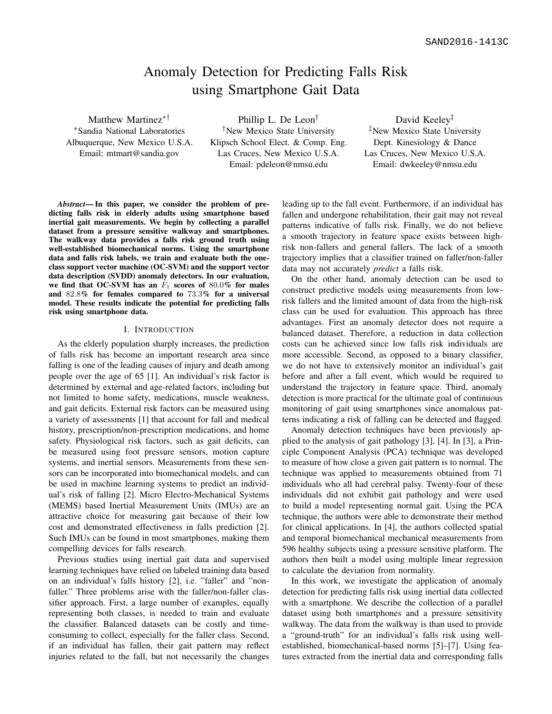# Anomaly Detection for Predicting Falls Risk using Smartphone Gait Data

Matthew Martinez∗† <sup>∗</sup>Sandia National Laboratories Albuquerque, New Mexico U.S.A. Email: mtmart@sandia.gov

Phillip L. De Leon† †New Mexico State University Klipsch School Elect. & Comp. Eng. Las Cruces, New Mexico U.S.A. Email: pdeleon@nmsu.edu

David Keeley<sup>‡</sup> ‡New Mexico State University Dept. Kinesiology & Dance Las Cruces, New Mexico U.S.A. Email: dwkeeley@nmsu.edu

*Abstract*— In this paper, we consider the problem of predicting falls risk in elderly adults using smartphone based inertial gait measurements. We begin by collecting a parallel dataset from a pressure sensitive walkway and smartphones. The walkway data provides a falls risk ground truth using well-established biomechanical norms. Using the smartphone data and falls risk labels, we train and evaluate both the oneclass support vector machine (OC-SVM) and the support vector data description (SVDD) anomaly detectors. In our evaluation, we find that OC-SVM has an  $F_1$  scores of 80.0% for males and 82.8% for females compared to 73.3% for a universal model. These results indicate the potential for predicting falls risk using smartphone data.

#### I. INTRODUCTION

As the elderly population sharply increases, the prediction of falls risk has become an important research area since falling is one of the leading causes of injury and death among people over the age of 65 [1]. An individual's risk factor is determined by external and age-related factors, including but not limited to home safety, medications, muscle weakness, and gait deficits. External risk factors can be measured using a variety of assessments [1] that account for fall and medical history, prescription/non-prescription medications, and home safety. Physiological risk factors, such as gait deficits, can be measured using foot pressure sensors, motion capture systems, and inertial sensors. Measurements from these sensors can be incorporated into biomechanical models, and can be used in machine learning systems to predict an individual's risk of falling [2]. Micro Electro-Mechanical Systems (MEMS) based Inertial Measurement Units (IMUs) are an attractive choice for measuring gait because of their low cost and demonstrated effectiveness in falls prediction [2]. Such IMUs can be found in most smartphones, making them compelling devices for falls research.

Previous studies using inertial gait data and supervised learning techniques have relied on labeled training data based on an individual's falls history [2], i.e. "faller" and "nonfaller." Three problems arise with the faller/non-faller classifier approach. First, a large number of examples, equally representing both classes, is needed to train and evaluate the classifier. Balanced datasets can be costly and timeconsuming to collect, especially for the faller class. Second, if an individual has fallen, their gait pattern may reflect injuries related to the fall, but not necessarily the changes leading up to the fall event. Furthermore, if an individual has fallen and undergone rehabilitation, their gait may not reveal patterns indicative of falls risk. Finally, we do not believe a smooth trajectory in feature space exists between highrisk non-fallers and general fallers. The lack of a smooth trajectory implies that a classifier trained on faller/non-faller data may not accurately *predict* a falls risk.

On the other hand, anomaly detection can be used to construct predictive models using measurements from lowrisk fallers and the limited amount of data from the high-risk class can be used for evaluation. This approach has three advantages. First an anomaly detector does not require a balanced dataset. Therefore, a reduction in data collection costs can be achieved since low falls risk individuals are more accessible. Second, as opposed to a binary classifier, we do not have to extensively monitor an individual's gait before and after a fall event, which would be required to understand the trajectory in feature space. Third, anomaly detection is more practical for the ultimate goal of continuous monitoring of gait using smartphones since anomalous patterns indicating a risk of falling can be detected and flagged.

Anomaly detection techniques have been previously applied to the analysis of gait pathology [3], [4]. In [3], a Principle Component Analysis (PCA) technique was developed to measure of how close a given gait pattern is to normal. The technique was applied to measurements obtained from 71 individuals who all had cerebral palsy. Twenty-four of these individuals did not exhibit gait pathology and were used to build a model representing normal gait. Using the PCA technique, the authors were able to demonstrate their method for clinical applications. In [4], the authors collected spatial and temporal biomechanical mechanical measurements from 596 healthy subjects using a pressure sensitive platform. The authors then built a model using multiple linear regression to calculate the deviation from normality.

In this work, we investigate the application of anomaly detection for predicting falls risk using inertial data collected with a smartphone. We describe the collection of a parallel dataset using both smartphones and a pressure sensitivity walkway. The data from the walkway is than used to provide a "ground-truth" for an individual's falls risk using wellestablished, biomechanical-based norms [5]–[7]. Using features extracted from the inertial data and corresponding falls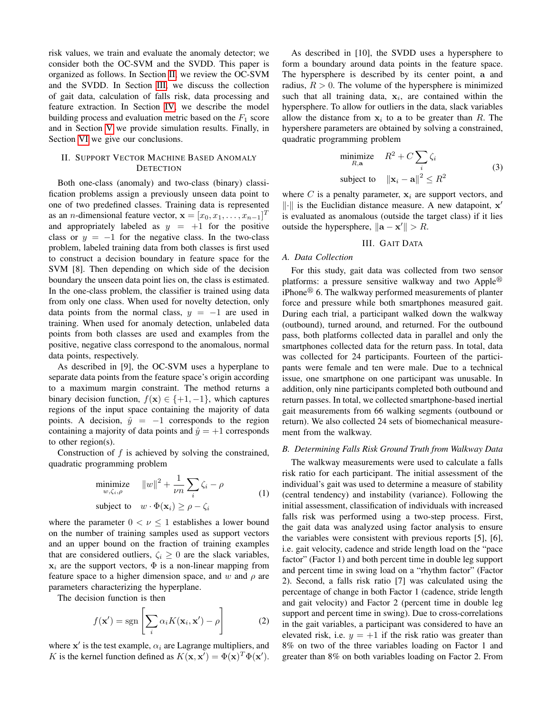risk values, we train and evaluate the anomaly detector; we consider both the OC-SVM and the SVDD. This paper is organized as follows. In Section [II,](#page-1-0) we review the OC-SVM and the SVDD. In Section [III,](#page-1-1) we discuss the collection of gait data, calculation of falls risk, data processing and feature extraction. In Section [IV,](#page-2-0) we describe the model building process and evaluation metric based on the  $F_1$  score and in Section [V](#page-2-1) we provide simulation results. Finally, in Section [VI](#page-3-0) we give our conclusions.

## <span id="page-1-0"></span>II. SUPPORT VECTOR MACHINE BASED ANOMALY **DETECTION**

Both one-class (anomaly) and two-class (binary) classification problems assign a previously unseen data point to one of two predefined classes. Training data is represented as an *n*-dimensional feature vector,  $\mathbf{x} = [x_0, x_1, \dots, x_{n-1}]^T$ and appropriately labeled as  $y = +1$  for the positive class or  $y = -1$  for the negative class. In the two-class problem, labeled training data from both classes is first used to construct a decision boundary in feature space for the SVM [8]. Then depending on which side of the decision boundary the unseen data point lies on, the class is estimated. In the one-class problem, the classifier is trained using data from only one class. When used for novelty detection, only data points from the normal class,  $y = -1$  are used in training. When used for anomaly detection, unlabeled data points from both classes are used and examples from the positive, negative class correspond to the anomalous, normal data points, respectively.

As described in [9], the OC-SVM uses a hyperplane to separate data points from the feature space's origin according to a maximum margin constraint. The method returns a binary decision function,  $f(\mathbf{x}) \in \{+1, -1\}$ , which captures regions of the input space containing the majority of data points. A decision,  $\hat{y} = -1$  corresponds to the region containing a majority of data points and  $\hat{y} = +1$  corresponds to other region(s).

Construction of  $f$  is achieved by solving the constrained, quadratic programming problem

$$
\begin{array}{ll}\text{minimize} & \|w\|^2 + \frac{1}{\nu n} \sum_{i} \zeta_i - \rho\\ \text{subject to} & w \cdot \Phi(\mathbf{x}_i) \ge \rho - \zeta_i \end{array} \tag{1}
$$

where the parameter  $0 < \nu \leq 1$  establishes a lower bound on the number of training samples used as support vectors and an upper bound on the fraction of training examples that are considered outliers,  $\zeta_i \geq 0$  are the slack variables,  $x_i$  are the support vectors,  $\Phi$  is a non-linear mapping from feature space to a higher dimension space, and w and  $\rho$  are parameters characterizing the hyperplane.

The decision function is then

$$
f(\mathbf{x}') = \text{sgn}\left[\sum_{i} \alpha_i K(\mathbf{x}_i, \mathbf{x}') - \rho\right]
$$
 (2)

where  $x'$  is the test example,  $\alpha_i$  are Lagrange multipliers, and K is the kernel function defined as  $K(\mathbf{x}, \mathbf{x}') = \Phi(\mathbf{x})^T \Phi(\mathbf{x}')$ .

As described in [10], the SVDD uses a hypersphere to form a boundary around data points in the feature space. The hypersphere is described by its center point, a and radius,  $R > 0$ . The volume of the hypersphere is minimized such that all training data,  $x_i$ , are contained within the hypersphere. To allow for outliers in the data, slack variables allow the distance from  $x_i$  to a to be greater than R. The hypershere parameters are obtained by solving a constrained, quadratic programming problem

$$
\begin{array}{ll}\text{minimize} & R^2 + C \sum_i \zeta_i\\ \text{subject to} & \|\mathbf{x}_i - \mathbf{a}\|^2 \le R^2 \end{array} \tag{3}
$$

where C is a penalty parameter,  $x_i$  are support vectors, and  $\|\cdot\|$  is the Euclidian distance measure. A new datapoint,  $x'$ is evaluated as anomalous (outside the target class) if it lies outside the hypersphere,  $\|\mathbf{a} - \mathbf{x}'\| > R$ .

III. GAIT DATA

#### <span id="page-1-1"></span>*A. Data Collection*

For this study, gait data was collected from two sensor platforms: a pressure sensitive walkway and two Apple<sup>®</sup> iPhone $\mathcal{F}$  6. The walkway performed measurements of planter force and pressure while both smartphones measured gait. During each trial, a participant walked down the walkway (outbound), turned around, and returned. For the outbound pass, both platforms collected data in parallel and only the smartphones collected data for the return pass. In total, data was collected for 24 participants. Fourteen of the participants were female and ten were male. Due to a technical issue, one smartphone on one participant was unusable. In addition, only nine participants completed both outbound and return passes. In total, we collected smartphone-based inertial gait measurements from 66 walking segments (outbound or return). We also collected 24 sets of biomechanical measurement from the walkway.

#### *B. Determining Falls Risk Ground Truth from Walkway Data*

The walkway measurements were used to calculate a falls risk ratio for each participant. The initial assessment of the individual's gait was used to determine a measure of stability (central tendency) and instability (variance). Following the initial assessment, classification of individuals with increased falls risk was performed using a two-step process. First, the gait data was analyzed using factor analysis to ensure the variables were consistent with previous reports [5], [6], i.e. gait velocity, cadence and stride length load on the "pace factor" (Factor 1) and both percent time in double leg support and percent time in swing load on a "rhythm factor" (Factor 2). Second, a falls risk ratio [7] was calculated using the percentage of change in both Factor 1 (cadence, stride length and gait velocity) and Factor 2 (percent time in double leg support and percent time in swing). Due to cross-correlations in the gait variables, a participant was considered to have an elevated risk, i.e.  $y = +1$  if the risk ratio was greater than 8% on two of the three variables loading on Factor 1 and greater than 8% on both variables loading on Factor 2. From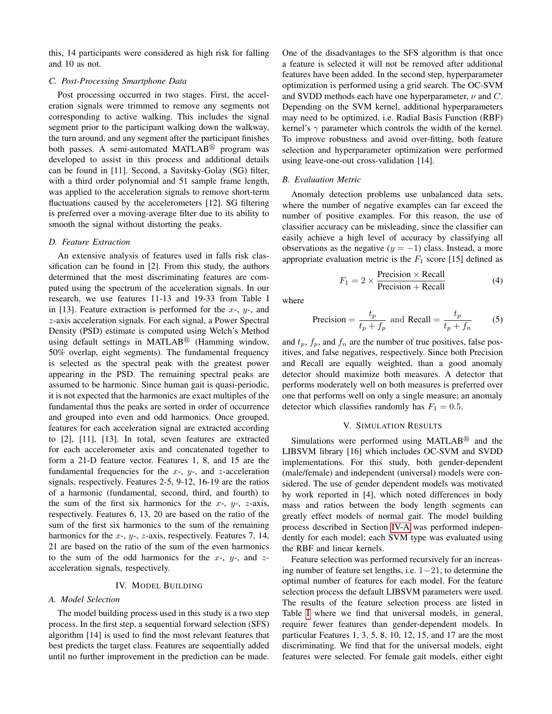this, 14 participants were considered as high risk for falling and 10 as not.

## *C. Post-Processing Smartphone Data*

Post processing occurred in two stages. First, the acceleration signals were trimmed to remove any segments not corresponding to active walking. This includes the signal segment prior to the participant walking down the walkway, the turn around, and any segment after the participant finishes both passes. A semi-automated MATLAB® program was developed to assist in this process and additional details can be found in [11]. Second, a Savitsky-Golay (SG) filter, with a third order polynomial and 51 sample frame length, was applied to the acceleration signals to remove short-term fluctuations caused by the accelerometers [12]. SG filtering is preferred over a moving-average filter due to its ability to smooth the signal without distorting the peaks.

#### *D. Feature Extraction*

An extensive analysis of features used in falls risk classification can be found in [2]. From this study, the authors determined that the most discriminating features are computed using the spectrum of the acceleration signals. In our research, we use features 11-13 and 19-33 from Table I in [13]. Feature extraction is performed for the  $x-$ ,  $y-$ , and z-axis acceleration signals. For each signal, a Power Spectral Density (PSD) estimate is computed using Welch's Method using default settings in MATLAB $\mathcal D$  (Hamming window, 50% overlap, eight segments). The fundamental frequency is selected as the spectral peak with the greatest power appearing in the PSD. The remaining spectral peaks are assumed to be harmonic. Since human gait is quasi-periodic, it is not expected that the harmonics are exact multiples of the fundamental thus the peaks are sorted in order of occurrence and grouped into even and odd harmonics. Once grouped, features for each acceleration signal are extracted according to [2], [11], [13]. In total, seven features are extracted for each accelerometer axis and concatenated together to form a 21-D feature vector. Features 1, 8, and 15 are the fundamental frequencies for the  $x$ -,  $y$ -, and  $z$ -acceleration signals, respectively. Features 2-5, 9-12, 16-19 are the ratios of a harmonic (fundamental, second, third, and fourth) to the sum of the first six harmonics for the  $x-$ ,  $y-$ ,  $z$ -axis, respectively. Features 6, 13, 20 are based on the ratio of the sum of the first six harmonics to the sum of the remaining harmonics for the  $x$ -,  $y$ -,  $z$ -axis, respectively. Features 7, 14, 21 are based on the ratio of the sum of the even harmonics to the sum of the odd harmonics for the  $x-$ ,  $y-$ , and  $z$ acceleration signals, respectively.

#### IV. MODEL BUILDING

## <span id="page-2-2"></span><span id="page-2-0"></span>*A. Model Selection*

The model building process used in this study is a two step process. In the first step, a sequential forward selection (SFS) algorithm [14] is used to find the most relevant features that best predicts the target class. Features are sequentially added until no further improvement in the prediction can be made.

One of the disadvantages to the SFS algorithm is that once a feature is selected it will not be removed after additional features have been added. In the second step, hyperparameter optimization is performed using a grid search. The OC-SVM and SVDD methods each have one hyperparameter,  $\nu$  and  $C$ . Depending on the SVM kernel, additional hyperparameters may need to be optimized, i.e. Radial Basis Function (RBF) kernel's  $\gamma$  parameter which controls the width of the kernel. To improve robustness and avoid over-fitting, both feature selection and hyperparameter optimization were performed using leave-one-out cross-validation [14].

#### *B. Evaluation Metric*

Anomaly detection problems use unbalanced data sets, where the number of negative examples can far exceed the number of positive examples. For this reason, the use of classifier accuracy can be misleading, since the classifier can easily achieve a high level of accuracy by classifying all observations as the negative  $(y = -1)$  class. Instead, a more appropriate evaluation metric is the  $F_1$  score [15] defined as

$$
F_1 = 2 \times \frac{\text{Precision} \times \text{Recall}}{\text{Precision} + \text{Recall}} \tag{4}
$$

where

$$
\text{Precision} = \frac{t_p}{t_p + f_p} \text{ and } \text{Recall} = \frac{t_p}{t_p + f_n} \tag{5}
$$

and  $t_p$ ,  $f_p$ , and  $f_n$  are the number of true positives, false positives, and false negatives, respectively. Since both Precision and Recall are equally weighted, than a good anomaly detector should maximize both measures. A detector that performs moderately well on both measures is preferred over one that performs well on only a single measure; an anomaly detector which classifies randomly has  $F_1 = 0.5$ .

#### V. SIMULATION RESULTS

<span id="page-2-1"></span>Simulations were performed using MATLAB $\textcircled{\tiny{\textcirc}}$  and the LIBSVM library [16] which includes OC-SVM and SVDD implementations. For this study, both gender-dependent (male/female) and independent (universal) models were considered. The use of gender dependent models was motivated by work reported in [4], which noted differences in body mass and ratios between the body length segments can greatly effect models of normal gait. The model building process described in Section [IV-A](#page-2-2) was performed independently for each model; each SVM type was evaluated using the RBF and linear kernels.

Feature selection was performed recursively for an increasing number of feature set lengths, i.e. 1−21, to determine the optimal number of features for each model. For the feature selection process the default LIBSVM parameters were used. The results of the feature selection process are listed in Table [I](#page-3-1) where we find that universal models, in general, require fewer features than gender-dependent models. In particular Features 1, 3, 5, 8, 10, 12, 15, and 17 are the most discriminating. We find that for the universal models, eight features were selected. For female gait models, either eight